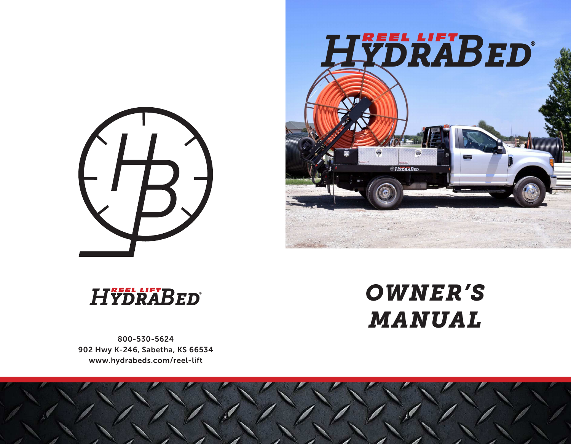





800-530-5624 902 Hwy K-246, Sabetha, KS 66534 www.hydrabeds.com/reel-lift

# *OWNER'S MANUAL*

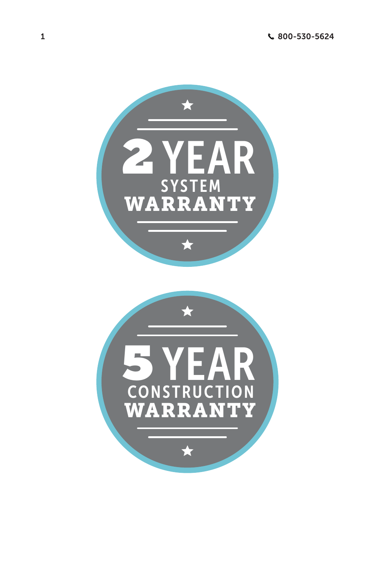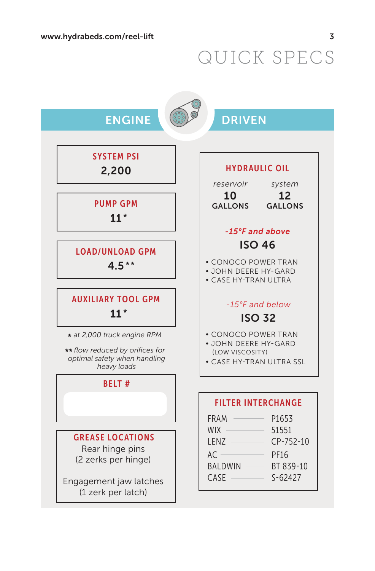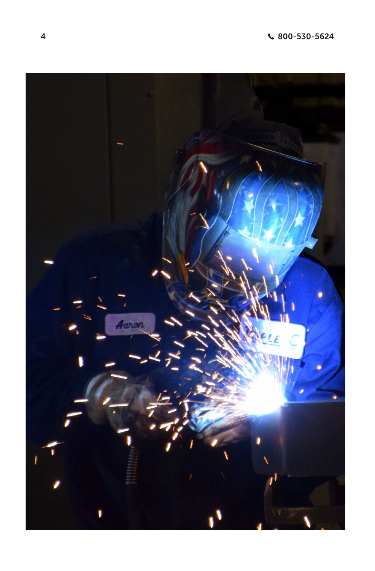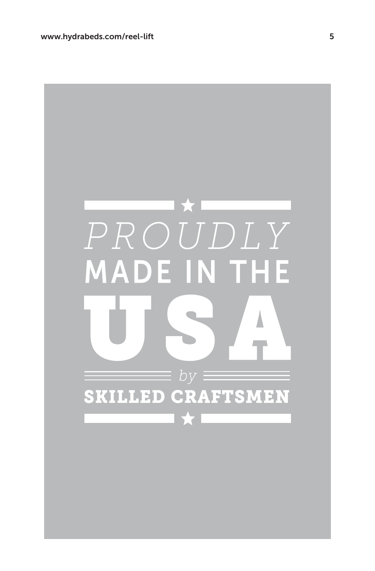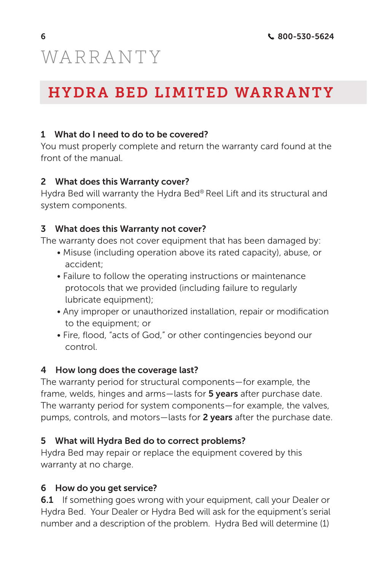### WARRANTY

### HYDRA BED LIMITED WARRANTY

#### 1 What do I need to do to be covered?

You must properly complete and return the warranty card found at the front of the manual.

#### 2 What does this Warranty cover?

Hydra Bed will warranty the Hydra Bed® Reel Lift and its structural and system components.

#### 3 What does this Warranty not cover?

The warranty does not cover equipment that has been damaged by:

- Misuse (including operation above its rated capacity), abuse, or accident;
- Failure to follow the operating instructions or maintenance protocols that we provided (including failure to regularly lubricate equipment);
- Any improper or unauthorized installation, repair or modification to the equipment; or
- Fire, flood, "acts of God," or other contingencies beyond our control.

#### 4 How long does the coverage last?

The warranty period for structural components—for example, the frame, welds, hinges and arms-lasts for **5 years** after purchase date. The warranty period for system components—for example, the valves, pumps, controls, and motors—lasts for 2 years after the purchase date.

#### 5 What will Hydra Bed do to correct problems?

Hydra Bed may repair or replace the equipment covered by this warranty at no charge.

#### 6 How do you get service?

**6.1** If something goes wrong with your equipment, call your Dealer or Hydra Bed. Your Dealer or Hydra Bed will ask for the equipment's serial number and a description of the problem. Hydra Bed will determine (1)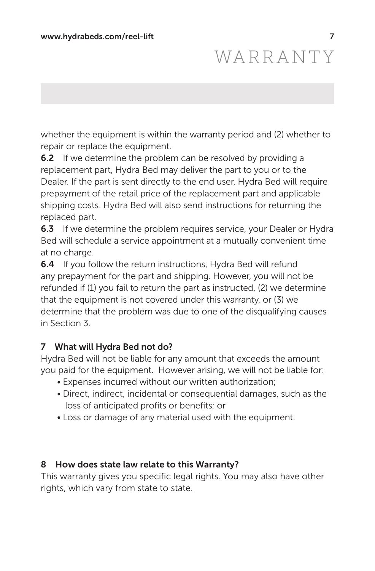WARRANTY

whether the equipment is within the warranty period and (2) whether to repair or replace the equipment.

**6.2** If we determine the problem can be resolved by providing a replacement part, Hydra Bed may deliver the part to you or to the Dealer. If the part is sent directly to the end user, Hydra Bed will require prepayment of the retail price of the replacement part and applicable shipping costs. Hydra Bed will also send instructions for returning the replaced part.

**6.3** If we determine the problem requires service, your Dealer or Hydra Bed will schedule a service appointment at a mutually convenient time at no charge.

**6.4** If you follow the return instructions, Hydra Bed will refund any prepayment for the part and shipping. However, you will not be refunded if (1) you fail to return the part as instructed, (2) we determine that the equipment is not covered under this warranty, or (3) we determine that the problem was due to one of the disqualifying causes in Section 3.

#### 7 What will Hydra Bed not do?

Hydra Bed will not be liable for any amount that exceeds the amount you paid for the equipment. However arising, we will not be liable for:

- Expenses incurred without our written authorization;
- Direct, indirect, incidental or consequential damages, such as the loss of anticipated profits or benefits; or
- Loss or damage of any material used with the equipment.

#### 8 How does state law relate to this Warranty?

This warranty gives you specific legal rights. You may also have other rights, which vary from state to state.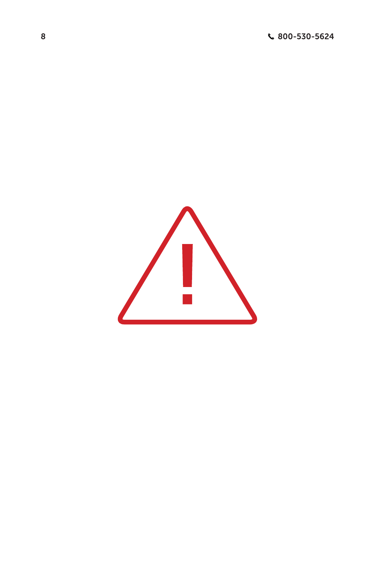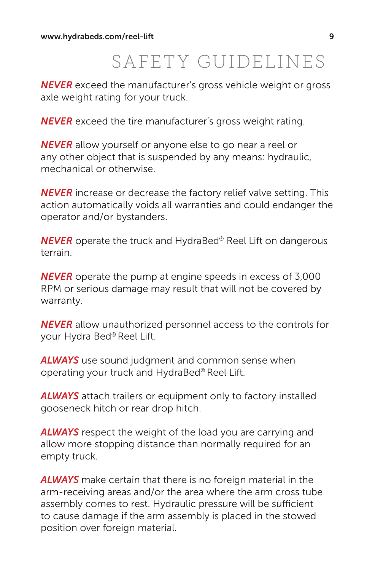### SAFETY GUIDELINES

*NEVER* exceed the manufacturer's gross vehicle weight or gross axle weight rating for your truck.

*NEVER* exceed the tire manufacturer's gross weight rating.

*NEVER* allow yourself or anyone else to go near a reel or any other object that is suspended by any means: hydraulic, mechanical or otherwise.

*NEVER* increase or decrease the factory relief valve setting. This action automatically voids all warranties and could endanger the operator and/or bystanders.

*NEVER* operate the truck and HydraBed® Reel Lift on dangerous terrain.

*NEVER* operate the pump at engine speeds in excess of 3,000 RPM or serious damage may result that will not be covered by warranty.

*NEVER* allow unauthorized personnel access to the controls for your Hydra Bed® Reel Lift.

*ALWAYS* use sound judgment and common sense when operating your truck and HydraBed® Reel Lift.

*ALWAYS* attach trailers or equipment only to factory installed gooseneck hitch or rear drop hitch.

*ALWAYS* respect the weight of the load you are carrying and allow more stopping distance than normally required for an empty truck.

*ALWAYS* make certain that there is no foreign material in the arm-receiving areas and/or the area where the arm cross tube assembly comes to rest. Hydraulic pressure will be sufficient to cause damage if the arm assembly is placed in the stowed position over foreign material.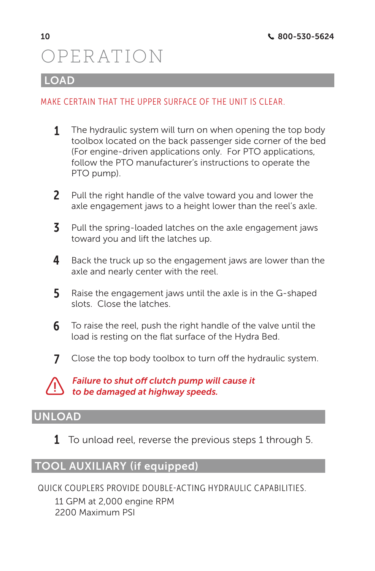# OPERATION

### **LOAD**

#### MAKE CERTAIN THAT THE UPPER SURFACE OF THE UNIT IS CLEAR.

- The hydraulic system will turn on when opening the top body toolbox located on the back passenger side corner of the bed (For engine-driven applications only. For PTO applications, follow the PTO manufacturer's instructions to operate the PTO pump). 1
- Pull the right handle of the valve toward you and lower the axle engagement jaws to a height lower than the reel's axle. 2
- Pull the spring-loaded latches on the axle engagement jaws toward you and lift the latches up. 3
- Back the truck up so the engagement jaws are lower than the axle and nearly center with the reel. 4
- Raise the engagement jaws until the axle is in the G-shaped slots. Close the latches. 5
- To raise the reel, push the right handle of the valve until the load is resting on the flat surface of the Hydra Bed. 6
- $7$  Close the top body toolbox to turn off the hydraulic system.



*Failure to shut off clutch pump will cause it to be damaged at highway speeds.*

#### UNLOAD

 $1$  To unload reel, reverse the previous steps 1 through 5.

### TOOL AUXILIARY (if equipped)

QUICK COUPLERS PROVIDE DOUBLE-ACTING HYDRAULIC CAPABILITIES.

11 GPM at 2,000 engine RPM 2200 Maximum PSI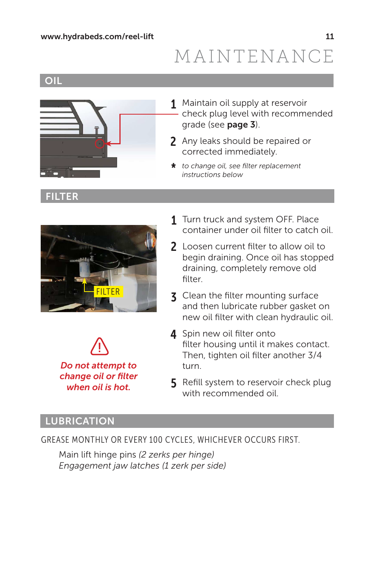## MAINTENANCE

OIL

FILTER



- $\,$  Maintain oil supply at reservoir - check plug level with recommended grade (see page 3).
- 2 Any leaks should be repaired or corrected immediately.
- *to change oil, see filter replacement*  \* *instructions below*





- $1$  Turn truck and system OFF. Place container under oil filter to catch oil.
- 2 Loosen current filter to allow oil to begin draining. Once oil has stopped draining, completely remove old filter.
- 3 Clean the filter mounting surface and then lubricate rubber gasket on new oil filter with clean hydraulic oil.
- 4 Spin new oil filter onto filter housing until it makes contact. Then, tighten oil filter another 3/4 turn.
- $5$  Refill system to reservoir check plug with recommended oil.

#### **LUBRICATION**

GREASE MONTHLY OR EVERY 100 CYCLES, WHICHEVER OCCURS FIRST.

Main lift hinge pins *(2 zerks per hinge) Engagement jaw latches (1 zerk per side)*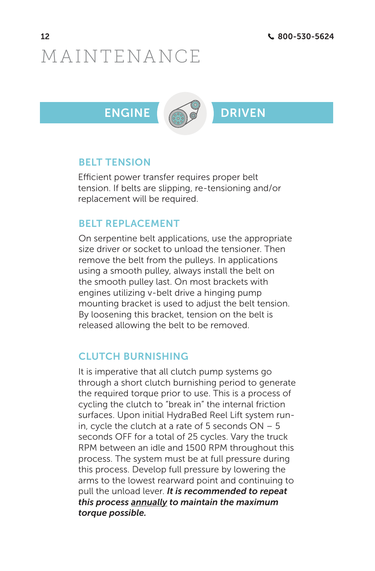# MAINTENANCE



#### BELT TENSION

Efficient power transfer requires proper belt tension. If belts are slipping, re-tensioning and/or replacement will be required.

#### BELT REPLACEMENT

On serpentine belt applications, use the appropriate size driver or socket to unload the tensioner. Then remove the belt from the pulleys. In applications using a smooth pulley, always install the belt on the smooth pulley last. On most brackets with engines utilizing v-belt drive a hinging pump mounting bracket is used to adjust the belt tension. By loosening this bracket, tension on the belt is released allowing the belt to be removed.

#### CLUTCH BURNISHING

It is imperative that all clutch pump systems go through a short clutch burnishing period to generate the required torque prior to use. This is a process of cycling the clutch to "break in" the internal friction surfaces. Upon initial HydraBed Reel Lift system runin, cycle the clutch at a rate of 5 seconds  $ON - 5$ seconds OFF for a total of 25 cycles. Vary the truck RPM between an idle and 1500 RPM throughout this process. The system must be at full pressure during this process. Develop full pressure by lowering the arms to the lowest rearward point and continuing to pull the unload lever. *It is recommended to repeat this process annually to maintain the maximum torque possible.*